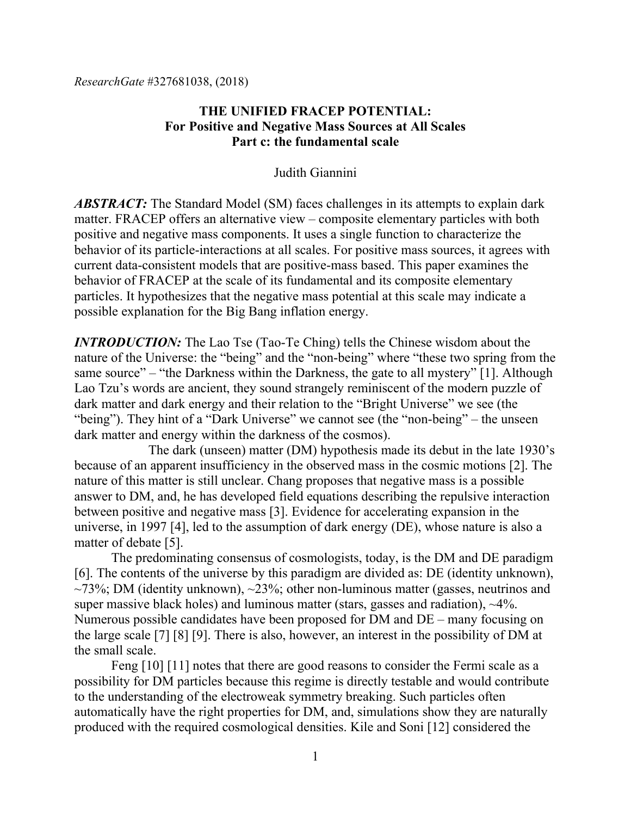# **THE UNIFIED FRACEP POTENTIAL: For Positive and Negative Mass Sources at All Scales Part c: the fundamental scale**

## Judith Giannini

*ABSTRACT:* The Standard Model (SM) faces challenges in its attempts to explain dark matter. FRACEP offers an alternative view – composite elementary particles with both positive and negative mass components. It uses a single function to characterize the behavior of its particle-interactions at all scales. For positive mass sources, it agrees with current data-consistent models that are positive-mass based. This paper examines the behavior of FRACEP at the scale of its fundamental and its composite elementary particles. It hypothesizes that the negative mass potential at this scale may indicate a possible explanation for the Big Bang inflation energy.

*INTRODUCTION:* The Lao Tse (Tao-Te Ching) tells the Chinese wisdom about the nature of the Universe: the "being" and the "non-being" where "these two spring from the same source" – "the Darkness within the Darkness, the gate to all mystery" [1]. Although Lao Tzu's words are ancient, they sound strangely reminiscent of the modern puzzle of dark matter and dark energy and their relation to the "Bright Universe" we see (the "being"). They hint of a "Dark Universe" we cannot see (the "non-being" – the unseen dark matter and energy within the darkness of the cosmos).

The dark (unseen) matter (DM) hypothesis made its debut in the late 1930's because of an apparent insufficiency in the observed mass in the cosmic motions [2]. The nature of this matter is still unclear. Chang proposes that negative mass is a possible answer to DM, and, he has developed field equations describing the repulsive interaction between positive and negative mass [3]. Evidence for accelerating expansion in the universe, in 1997 [4], led to the assumption of dark energy (DE), whose nature is also a matter of debate [5].

The predominating consensus of cosmologists, today, is the DM and DE paradigm [6]. The contents of the universe by this paradigm are divided as: DE (identity unknown),  $\sim$ 73%; DM (identity unknown),  $\sim$ 23%; other non-luminous matter (gasses, neutrinos and super massive black holes) and luminous matter (stars, gasses and radiation),  $\sim$ 4%. Numerous possible candidates have been proposed for DM and DE – many focusing on the large scale [7] [8] [9]. There is also, however, an interest in the possibility of DM at the small scale.

Feng [10] [11] notes that there are good reasons to consider the Fermi scale as a possibility for DM particles because this regime is directly testable and would contribute to the understanding of the electroweak symmetry breaking. Such particles often automatically have the right properties for DM, and, simulations show they are naturally produced with the required cosmological densities. Kile and Soni [12] considered the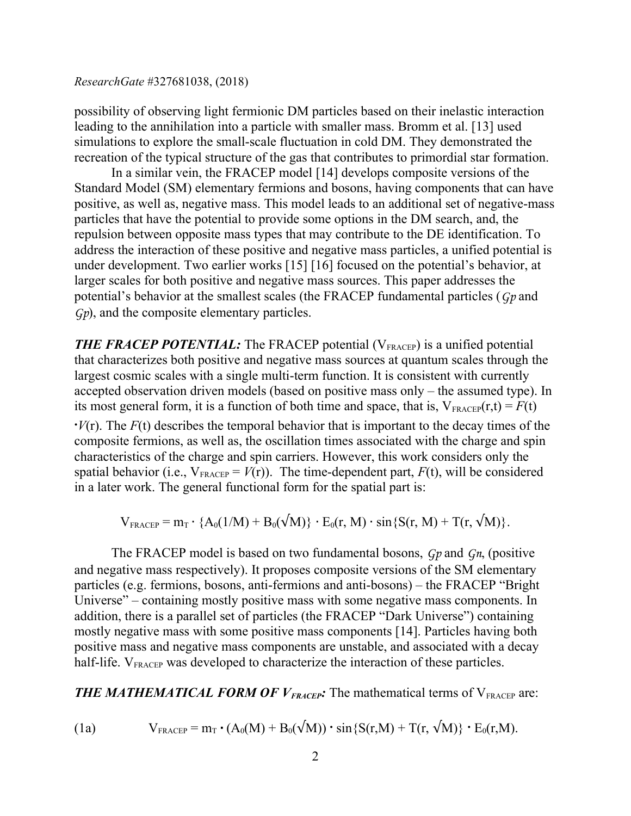possibility of observing light fermionic DM particles based on their inelastic interaction leading to the annihilation into a particle with smaller mass. Bromm et al. [13] used simulations to explore the small-scale fluctuation in cold DM. They demonstrated the recreation of the typical structure of the gas that contributes to primordial star formation.

In a similar vein, the FRACEP model [14] develops composite versions of the Standard Model (SM) elementary fermions and bosons, having components that can have positive, as well as, negative mass. This model leads to an additional set of negative-mass particles that have the potential to provide some options in the DM search, and, the repulsion between opposite mass types that may contribute to the DE identification. To address the interaction of these positive and negative mass particles, a unified potential is under development. Two earlier works [15] [16] focused on the potential's behavior, at larger scales for both positive and negative mass sources. This paper addresses the potential's behavior at the smallest scales (the FRACEP fundamental particles (*Gp* and *Gp*), and the composite elementary particles.

**THE FRACEP POTENTIAL:** The FRACEP potential (V<sub>FRACEP</sub>) is a unified potential that characterizes both positive and negative mass sources at quantum scales through the largest cosmic scales with a single multi-term function. It is consistent with currently accepted observation driven models (based on positive mass only – the assumed type). In its most general form, it is a function of both time and space, that is,  $V_{\text{FRACEP}}(r,t) = F(t)$ 

 $\cdot V(r)$ . The  $F(t)$  describes the temporal behavior that is important to the decay times of the composite fermions, as well as, the oscillation times associated with the charge and spin characteristics of the charge and spin carriers. However, this work considers only the spatial behavior (i.e.,  $V_{\text{FRACEP}} = V(r)$ ). The time-dependent part,  $F(t)$ , will be considered in a later work. The general functional form for the spatial part is:

$$
V_{\text{FRACEP}} = m_T \cdot \{A_0(1/M) + B_0(\sqrt{M})\} \cdot E_0(r, M) \cdot \sin\{S(r, M) + T(r, \sqrt{M})\}.
$$

The FRACEP model is based on two fundamental bosons, *Gp* and *Gn*, (positive and negative mass respectively). It proposes composite versions of the SM elementary particles (e.g. fermions, bosons, anti-fermions and anti-bosons) – the FRACEP "Bright Universe" – containing mostly positive mass with some negative mass components. In addition, there is a parallel set of particles (the FRACEP "Dark Universe") containing mostly negative mass with some positive mass components [14]. Particles having both positive mass and negative mass components are unstable, and associated with a decay half-life.  $V_{\text{FRACEP}}$  was developed to characterize the interaction of these particles.

**THE MATHEMATICAL FORM OF**  $V_{\text{FRACEP}}$ **:** The mathematical terms of  $V_{\text{FRACEP}}$  are:

(1a) 
$$
V_{\text{FRACEP}} = m_T \cdot (A_0(M) + B_0(\sqrt{M})) \cdot \sin\{S(r, M) + T(r, \sqrt{M})\} \cdot E_0(r, M).
$$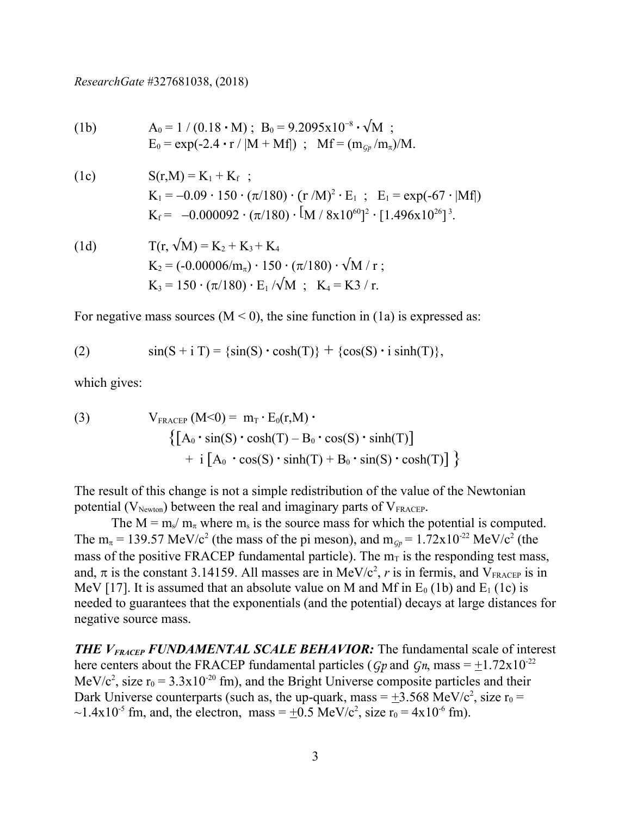(1b) 
$$
A_0 = 1 / (0.18 \cdot M); B_0 = 9.2095 \times 10^{-8} \cdot \sqrt{M};
$$
  
\n $E_0 = \exp(-2.4 \cdot r / |M + Mf|); Mf = (m_{Gp}/m_{\pi})/M.$ 

(1c) 
$$
S(r,M) = K_1 + K_f ;
$$

$$
K_1 = -0.09 \cdot 150 \cdot (\pi/180) \cdot (r/M)^2 \cdot E_1 ; E_1 = \exp(-67 \cdot |Mf|)
$$

$$
K_f = -0.000092 \cdot (\pi/180) \cdot [M / 8x10^{60}]^2 \cdot [1.496x10^{26}]^3.
$$

(1d) 
$$
T(r, \sqrt{M}) = K_2 + K_3 + K_4
$$

$$
K_2 = (-0.00006/m_\pi) \cdot 150 \cdot (\pi/180) \cdot \sqrt{M} / r ;
$$

$$
K_3 = 150 \cdot (\pi/180) \cdot E_1 / \sqrt{M} ; K_4 = K3 / r.
$$

For negative mass sources  $(M < 0)$ , the sine function in (1a) is expressed as:

(2) 
$$
\sin(S + i T) = \{ \sin(S) \cdot \cosh(T) \} + \{ \cos(S) \cdot i \sinh(T) \},
$$

which gives:

(3) 
$$
V_{\text{FRACTP}} (M<0) = m_T \cdot E_0(r,M) \cdot \left\{ \left[ A_0 \cdot \sin(S) \cdot \cosh(T) - B_0 \cdot \cos(S) \cdot \sinh(T) \right] + i \left[ A_0 \cdot \cos(S) \cdot \sinh(T) + B_0 \cdot \sin(S) \cdot \cosh(T) \right] \right\}
$$

The result of this change is not a simple redistribution of the value of the Newtonian potential  $(V_{Newton})$  between the real and imaginary parts of  $V_{FRACEPT}$ .

The  $M = m_s/m_\pi$  where  $m_s$  is the source mass for which the potential is computed. The  $m_{\pi}$  = 139.57 MeV/c<sup>2</sup> (the mass of the pi meson), and  $m_{GP}$  = 1.72x10<sup>-22</sup> MeV/c<sup>2</sup> (the mass of the positive FRACEP fundamental particle). The  $m<sub>T</sub>$  is the responding test mass, and,  $\pi$  is the constant 3.14159. All masses are in MeV/c<sup>2</sup>, r is in fermis, and V<sub>FRACEP</sub> is in MeV [17]. It is assumed that an absolute value on M and Mf in  $E_0$  (1b) and  $E_1$  (1c) is needed to guarantees that the exponentials (and the potential) decays at large distances for negative source mass.

*THE VFRACEP FUNDAMENTAL SCALE BEHAVIOR:* The fundamental scale of interest here centers about the FRACEP fundamental particles ( $Gp$  and  $Gn$ , mass =  $\pm 1.72 \times 10^{-22}$ ) MeV/c<sup>2</sup>, size  $r_0 = 3.3 \times 10^{-20}$  fm), and the Bright Universe composite particles and their Dark Universe counterparts (such as, the up-quark, mass =  $\pm$ 3.568 MeV/c<sup>2</sup>, size r<sub>0</sub> =  $\sim$ 1.4x10<sup>-5</sup> fm, and, the electron, mass =  $\pm$ 0.5 MeV/c<sup>2</sup>, size r<sub>0</sub> = 4x10<sup>-6</sup> fm).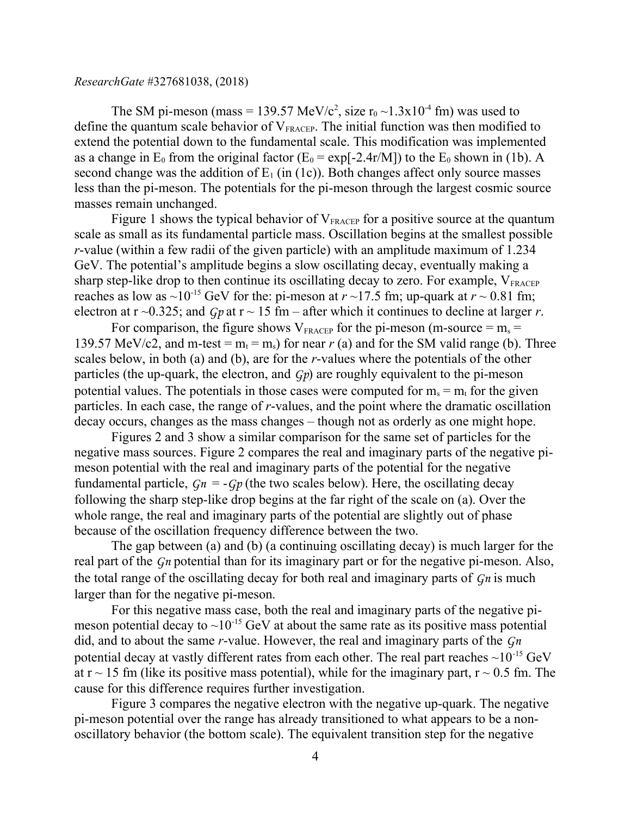The SM pi-meson (mass = 139.57 MeV/c<sup>2</sup>, size  $r_0 \sim 1.3 \times 10^{-4}$  fm) was used to define the quantum scale behavior of  $V_{\text{FRACEP}}$ . The initial function was then modified to extend the potential down to the fundamental scale. This modification was implemented as a change in  $E_0$  from the original factor ( $E_0 = \exp[-2.4r/M]$ ) to the  $E_0$  shown in (1b). A second change was the addition of  $E_1$  (in (1c)). Both changes affect only source masses less than the pi-meson. The potentials for the pi-meson through the largest cosmic source masses remain unchanged.

Figure 1 shows the typical behavior of  $V_{\text{FRACEP}}$  for a positive source at the quantum scale as small as its fundamental particle mass. Oscillation begins at the smallest possible *r*-value (within a few radii of the given particle) with an amplitude maximum of 1.234 GeV. The potential's amplitude begins a slow oscillating decay, eventually making a sharp step-like drop to then continue its oscillating decay to zero. For example,  $V_{\text{FRACEP}}$ reaches as low as  $\sim 10^{-15}$  GeV for the: pi-meson at  $r \sim 17.5$  fm; up-quark at  $r \sim 0.81$  fm; electron at  $r \sim 0.325$ ; and *Gp* at  $r \sim 15$  fm – after which it continues to decline at larger *r*.

For comparison, the figure shows  $V_{\text{FRACEP}}$  for the pi-meson (m-source = m<sub>s</sub> = 139.57 MeV/c2, and m-test =  $m_t$  =  $m_s$ ) for near  $r$  (a) and for the SM valid range (b). Three scales below, in both (a) and (b), are for the *r*-values where the potentials of the other particles (the up-quark, the electron, and *Gp*) are roughly equivalent to the pi-meson potential values. The potentials in those cases were computed for  $m_s = m_t$  for the given particles. In each case, the range of *r*-values, and the point where the dramatic oscillation decay occurs, changes as the mass changes – though not as orderly as one might hope.

Figures 2 and 3 show a similar comparison for the same set of particles for the negative mass sources. Figure 2 compares the real and imaginary parts of the negative pimeson potential with the real and imaginary parts of the potential for the negative fundamental particle,  $G_n = -G_p$  (the two scales below). Here, the oscillating decay following the sharp step-like drop begins at the far right of the scale on (a). Over the whole range, the real and imaginary parts of the potential are slightly out of phase because of the oscillation frequency difference between the two.

The gap between (a) and (b) (a continuing oscillating decay) is much larger for the real part of the *Gn* potential than for its imaginary part or for the negative pi-meson. Also, the total range of the oscillating decay for both real and imaginary parts of *Gn* is much larger than for the negative pi-meson.

For this negative mass case, both the real and imaginary parts of the negative pimeson potential decay to  $\sim 10^{-15}$  GeV at about the same rate as its positive mass potential did, and to about the same *r*-value. However, the real and imaginary parts of the *Gn* potential decay at vastly different rates from each other. The real part reaches  $\sim 10^{-15}$  GeV at  $r \sim 15$  fm (like its positive mass potential), while for the imaginary part,  $r \sim 0.5$  fm. The cause for this difference requires further investigation.

Figure 3 compares the negative electron with the negative up-quark. The negative pi-meson potential over the range has already transitioned to what appears to be a nonoscillatory behavior (the bottom scale). The equivalent transition step for the negative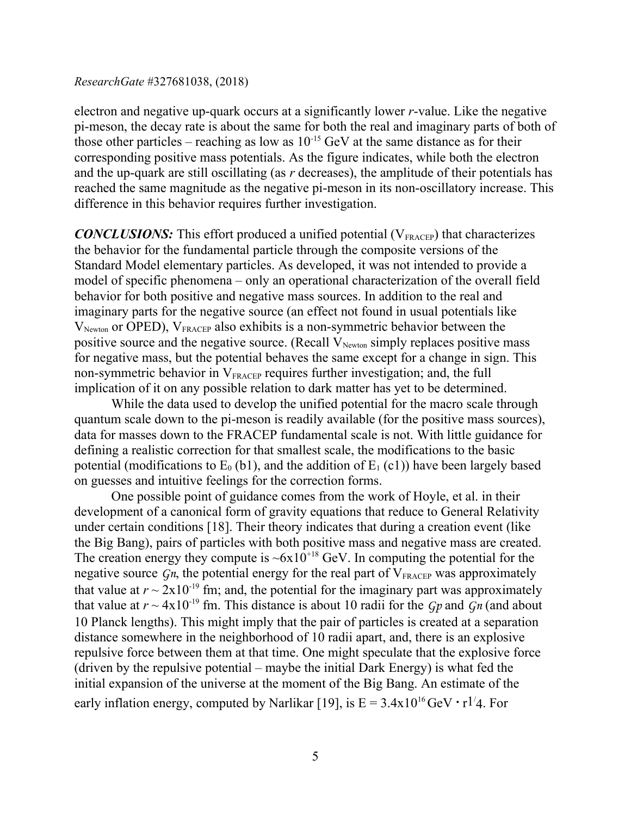electron and negative up-quark occurs at a significantly lower *r*-value. Like the negative pi-meson, the decay rate is about the same for both the real and imaginary parts of both of those other particles – reaching as low as  $10^{-15}$  GeV at the same distance as for their corresponding positive mass potentials. As the figure indicates, while both the electron and the up-quark are still oscillating (as *r* decreases), the amplitude of their potentials has reached the same magnitude as the negative pi-meson in its non-oscillatory increase. This difference in this behavior requires further investigation.

*CONCLUSIONS:* This effort produced a unified potential (V<sub>FRACEP</sub>) that characterizes the behavior for the fundamental particle through the composite versions of the Standard Model elementary particles. As developed, it was not intended to provide a model of specific phenomena – only an operational characterization of the overall field behavior for both positive and negative mass sources. In addition to the real and imaginary parts for the negative source (an effect not found in usual potentials like  $V_{Newton}$  or OPED),  $V_{FRACEP}$  also exhibits is a non-symmetric behavior between the positive source and the negative source. (Recall  $V_{Newton}$  simply replaces positive mass for negative mass, but the potential behaves the same except for a change in sign. This non-symmetric behavior in  $V_{\text{FRACEP}}$  requires further investigation; and, the full implication of it on any possible relation to dark matter has yet to be determined.

While the data used to develop the unified potential for the macro scale through quantum scale down to the pi-meson is readily available (for the positive mass sources), data for masses down to the FRACEP fundamental scale is not. With little guidance for defining a realistic correction for that smallest scale, the modifications to the basic potential (modifications to  $E_0$  (b1), and the addition of  $E_1$  (c1)) have been largely based on guesses and intuitive feelings for the correction forms.

One possible point of guidance comes from the work of Hoyle, et al. in their development of a canonical form of gravity equations that reduce to General Relativity under certain conditions [18]. Their theory indicates that during a creation event (like the Big Bang), pairs of particles with both positive mass and negative mass are created. The creation energy they compute is  $\sim 6x10^{+18}$  GeV. In computing the potential for the negative source  $G_n$ , the potential energy for the real part of  $V_{\text{FRACTP}}$  was approximately that value at  $r \sim 2x10^{-19}$  fm; and, the potential for the imaginary part was approximately that value at  $r \sim 4x10^{-19}$  fm. This distance is about 10 radii for the *Gp* and *Gn* (and about 10 Planck lengths). This might imply that the pair of particles is created at a separation distance somewhere in the neighborhood of 10 radii apart, and, there is an explosive repulsive force between them at that time. One might speculate that the explosive force (driven by the repulsive potential – maybe the initial Dark Energy) is what fed the initial expansion of the universe at the moment of the Big Bang. An estimate of the early inflation energy, computed by Narlikar [19], is  $E = 3.4x10^{16}$  GeV  $\cdot$  r<sup>1/</sup>4. For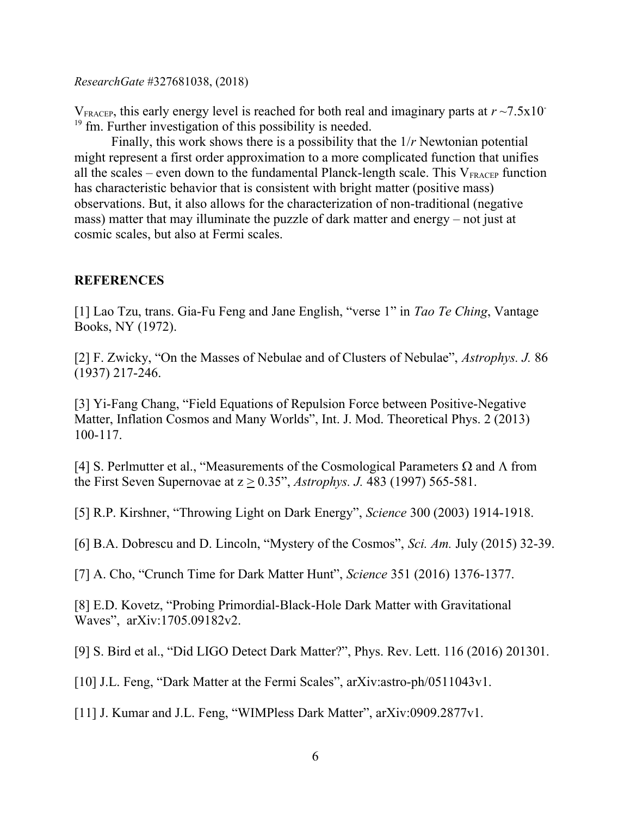$V_{\text{FRACEP}}$ , this early energy level is reached for both real and imaginary parts at  $r \sim 7.5 \times 10^{-7}$  $19 \text{ fm}$ . Further investigation of this possibility is needed.

Finally, this work shows there is a possibility that the 1/*r* Newtonian potential might represent a first order approximation to a more complicated function that unifies all the scales – even down to the fundamental Planck-length scale. This  $V_{\text{FRACEP}}$  function has characteristic behavior that is consistent with bright matter (positive mass) observations. But, it also allows for the characterization of non-traditional (negative mass) matter that may illuminate the puzzle of dark matter and energy – not just at cosmic scales, but also at Fermi scales.

# **REFERENCES**

[1] Lao Tzu, trans. Gia-Fu Feng and Jane English, "verse 1" in *Tao Te Ching*, Vantage Books, NY (1972).

[2] F. Zwicky, "On the Masses of Nebulae and of Clusters of Nebulae", *Astrophys. J.* 86 (1937) 217-246.

[3] Yi-Fang Chang, "Field Equations of Repulsion Force between Positive-Negative Matter, Inflation Cosmos and Many Worlds", Int. J. Mod. Theoretical Phys. 2 (2013) 100-117.

[4] S. Perlmutter et al., "Measurements of the Cosmological Parameters  $\Omega$  and  $\Lambda$  from the First Seven Supernovae at z > 0.35", *Astrophys. J.* 483 (1997) 565-581.

[5] R.P. Kirshner, "Throwing Light on Dark Energy", *Science* 300 (2003) 1914-1918.

[6] B.A. Dobrescu and D. Lincoln, "Mystery of the Cosmos", *Sci. Am.* July (2015) 32-39.

[7] A. Cho, "Crunch Time for Dark Matter Hunt", *Science* 351 (2016) 1376-1377.

[8] E.D. Kovetz, "Probing Primordial-Black-Hole Dark Matter with Gravitational Waves", arXiv:1705.09182v2.

[9] S. Bird et al., "Did LIGO Detect Dark Matter?", Phys. Rev. Lett. 116 (2016) 201301.

[10] J.L. Feng, "Dark Matter at the Fermi Scales", arXiv:astro-ph/0511043v1.

[11] J. Kumar and J.L. Feng, "WIMPless Dark Matter", arXiv:0909.2877v1.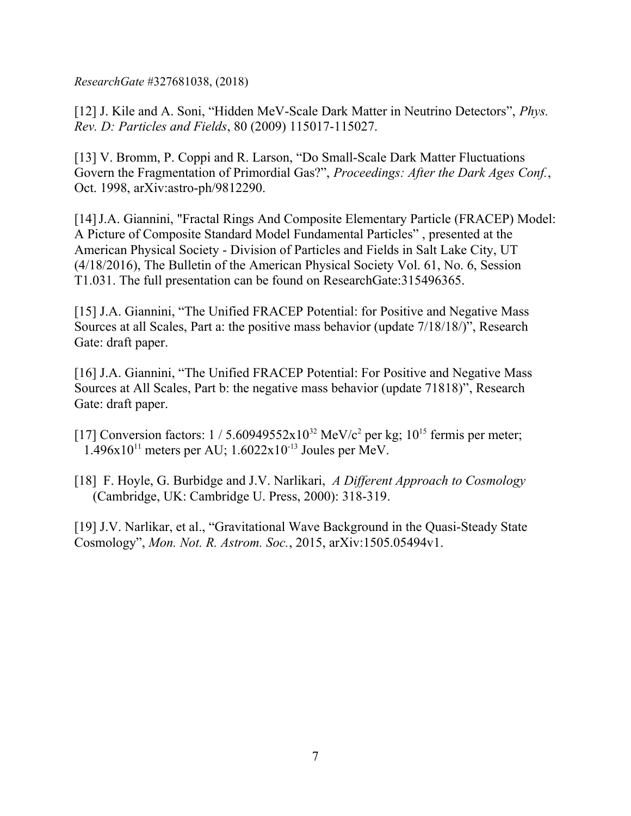[12] J. Kile and A. Soni, "Hidden MeV-Scale Dark Matter in Neutrino Detectors", *Phys. Rev. D: Particles and Fields*, 80 (2009) 115017-115027.

[13] V. Bromm, P. Coppi and R. Larson, "Do Small-Scale Dark Matter Fluctuations Govern the Fragmentation of Primordial Gas?", *Proceedings: After the Dark Ages Conf.*, Oct. 1998, arXiv:astro-ph/9812290.

[14]J.A. Giannini, "Fractal Rings And Composite Elementary Particle (FRACEP) Model: A Picture of Composite Standard Model Fundamental Particles" , presented at the American Physical Society - Division of Particles and Fields in Salt Lake City, UT (4/18/2016), The Bulletin of the American Physical Society Vol. 61, No. 6, Session T1.031. The full presentation can be found on ResearchGate:315496365.

[15] J.A. Giannini, "The Unified FRACEP Potential: for Positive and Negative Mass Sources at all Scales, Part a: the positive mass behavior (update 7/18/18/)", Research Gate: draft paper.

[16] J.A. Giannini, "The Unified FRACEP Potential: For Positive and Negative Mass Sources at All Scales, Part b: the negative mass behavior (update 71818)", Research Gate: draft paper.

[17] Conversion factors:  $1/5.60949552 \times 10^{32}$  MeV/c<sup>2</sup> per kg;  $10^{15}$  fermis per meter;  $1.496x10^{11}$  meters per AU;  $1.6022x10^{-13}$  Joules per MeV.

[18] F. Hoyle, G. Burbidge and J.V. Narlikari, *A Different Approach to Cosmology*  (Cambridge, UK: Cambridge U. Press, 2000): 318-319.

[19] J.V. Narlikar, et al., "Gravitational Wave Background in the Quasi-Steady State Cosmology", *Mon. Not. R. Astrom. Soc.*, 2015, arXiv:1505.05494v1.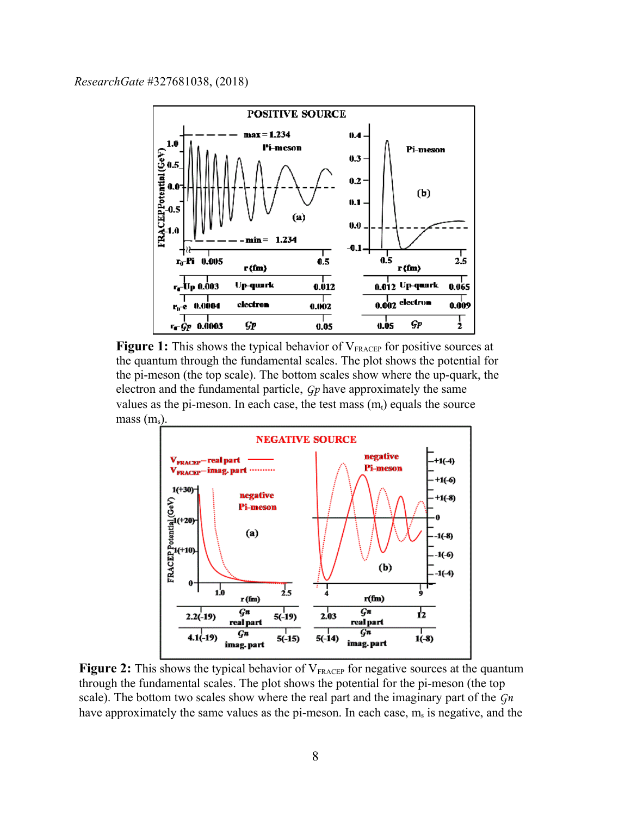

**Figure 1:** This shows the typical behavior of V<sub>FRACEP</sub> for positive sources at the quantum through the fundamental scales. The plot shows the potential for the pi-meson (the top scale). The bottom scales show where the up-quark, the electron and the fundamental particle, *Gp* have approximately the same values as the pi-meson. In each case, the test mass  $(m_t)$  equals the source mass  $(m_s)$ .



**Figure 2:** This shows the typical behavior of V<sub>FRACEP</sub> for negative sources at the quantum through the fundamental scales. The plot shows the potential for the pi-meson (the top scale). The bottom two scales show where the real part and the imaginary part of the *Gn* have approximately the same values as the pi-meson. In each case,  $m_s$  is negative, and the